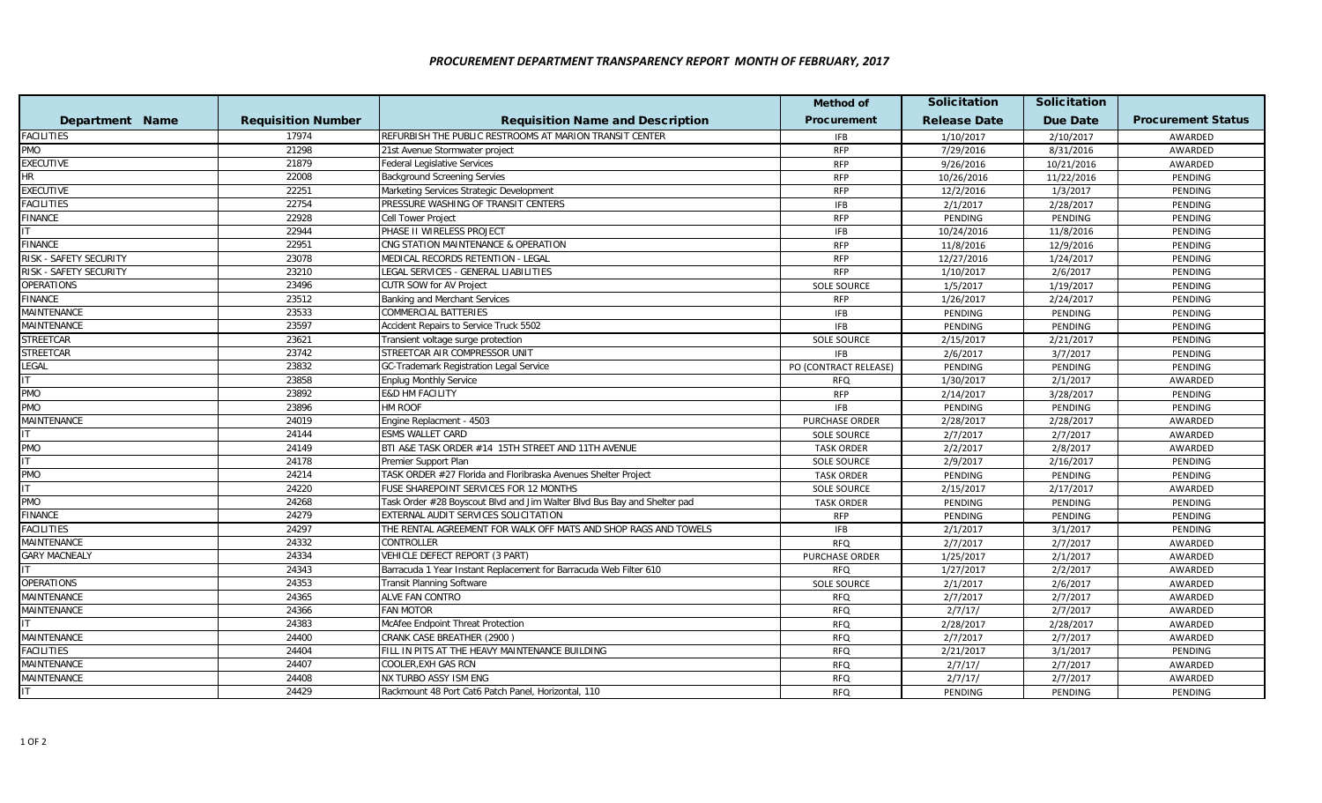## *PROCUREMENT DEPARTMENT TRANSPARENCY REPORT MONTH OF FEBRUARY, 2017*

|                        |                           |                                                                          | <b>Method of</b>      | <b>Solicitation</b> | <b>Solicitation</b> |                           |
|------------------------|---------------------------|--------------------------------------------------------------------------|-----------------------|---------------------|---------------------|---------------------------|
| Department Name        | <b>Requisition Number</b> | <b>Requisition Name and Description</b>                                  | Procurement           | <b>Release Date</b> | <b>Due Date</b>     | <b>Procurement Status</b> |
| <b>FACILITIES</b>      | 17974                     | REFURBISH THE PUBLIC RESTROOMS AT MARION TRANSIT CENTER                  | <b>IFB</b>            | 1/10/2017           | 2/10/2017           | AWARDED                   |
| <b>PMO</b>             | 21298                     | 21st Avenue Stormwater project                                           | <b>RFP</b>            | 7/29/2016           | 8/31/2016           | AWARDED                   |
| <b>EXECUTIVE</b>       | 21879                     | <b>Federal Legislative Services</b>                                      | <b>RFP</b>            | 9/26/2016           | 10/21/2016          | AWARDED                   |
| HR                     | 22008                     | <b>Background Screening Servies</b>                                      | <b>RFP</b>            | 10/26/2016          | 11/22/2016          | PENDING                   |
| <b>EXECUTIVE</b>       | 22251                     | Marketing Services Strategic Development                                 | <b>RFP</b>            | 12/2/2016           | 1/3/2017            | PENDING                   |
| <b>FACILITIES</b>      | 22754                     | PRESSURE WASHING OF TRANSIT CENTERS                                      | <b>IFB</b>            | 2/1/2017            | 2/28/2017           | <b>PENDING</b>            |
| <b>FINANCE</b>         | 22928                     | Cell Tower Project                                                       | <b>RFP</b>            | PENDING             | PENDING             | PENDING                   |
|                        | 22944                     | PHASE II WIRELESS PROJECT                                                | <b>IFB</b>            | 10/24/2016          | 11/8/2016           | PENDING                   |
| <b>FINANCE</b>         | 22951                     | CNG STATION MAINTENANCE & OPERATION                                      | <b>RFP</b>            | 11/8/2016           | 12/9/2016           | PENDING                   |
| RISK - SAFETY SECURITY | 23078                     | MEDICAL RECORDS RETENTION - LEGAL                                        | <b>RFP</b>            | 12/27/2016          | 1/24/2017           | PENDING                   |
| RISK - SAFETY SECURITY | 23210                     | LEGAL SERVICES - GENERAL LIABILITIES                                     | <b>RFP</b>            | 1/10/2017           | 2/6/2017            | PENDING                   |
| <b>OPERATIONS</b>      | 23496                     | CUTR SOW for AV Project                                                  | <b>SOLE SOURCE</b>    | 1/5/2017            | 1/19/2017           | <b>PENDING</b>            |
| FINANCE                | 23512                     | Banking and Merchant Services                                            | <b>RFP</b>            | 1/26/2017           | 2/24/2017           | PENDING                   |
| MAINTENANCE            | 23533                     | COMMERCIAL BATTERIES                                                     | <b>IFB</b>            | PENDING             | PENDING             | PENDING                   |
| MAINTENANCE            | 23597                     | Accident Repairs to Service Truck 5502                                   | <b>IFB</b>            | PENDING             | PENDING             | PENDING                   |
| <b>STREETCAR</b>       | 23621                     | Transient voltage surge protection                                       | <b>SOLE SOURCE</b>    | 2/15/2017           | 2/21/2017           | PENDING                   |
| STREETCAR              | 23742                     | STREETCAR AIR COMPRESSOR UNIT                                            | <b>IFB</b>            | 2/6/2017            | 3/7/2017            | PENDING                   |
| LEGAL                  | 23832                     | <b>GC-Trademark Registration Legal Service</b>                           | PO (CONTRACT RELEASE) | PENDING             | PENDING             | PENDING                   |
|                        | 23858                     | <b>Enplug Monthly Service</b>                                            | RFQ                   | 1/30/2017           | 2/1/2017            | AWARDED                   |
| <b>PMO</b>             | 23892                     | <b>E&amp;D HM FACILITY</b>                                               | <b>RFP</b>            | 2/14/2017           | 3/28/2017           | PENDING                   |
| <b>PMO</b>             | 23896                     | <b>HM ROOF</b>                                                           | <b>IFB</b>            | PENDING             | <b>PENDING</b>      | PENDING                   |
| MAINTENANCE            | 24019                     | Engine Replacment - 4503                                                 | <b>PURCHASE ORDER</b> | 2/28/2017           | 2/28/2017           | AWARDED                   |
| IT                     | 24144                     | ESMS WALLET CARD                                                         | <b>SOLE SOURCE</b>    | 2/7/2017            | 2/7/2017            | AWARDED                   |
| PMO                    | 24149                     | BTI A&E TASK ORDER #14 15TH STREET AND 11TH AVENUE                       | <b>TASK ORDER</b>     | 2/2/2017            | 2/8/2017            | AWARDED                   |
|                        | 24178                     | Premier Support Plan                                                     | <b>SOLE SOURCE</b>    | 2/9/2017            | 2/16/2017           | PENDING                   |
| <b>PMO</b>             | 24214                     | TASK ORDER #27 Florida and Floribraska Avenues Shelter Project           | <b>TASK ORDER</b>     | PENDING             | PENDING             | PENDING                   |
| IT.                    | 24220                     | FUSE SHAREPOINT SERVICES FOR 12 MONTHS                                   | <b>SOLE SOURCE</b>    | 2/15/2017           | 2/17/2017           | AWARDED                   |
| <b>PMO</b>             | 24268                     | Task Order #28 Boyscout Blvd and Jim Walter Blvd Bus Bay and Shelter pad | <b>TASK ORDER</b>     | PENDING             | PENDING             | PENDING                   |
| <b>FINANCE</b>         | 24279                     | EXTERNAL AUDIT SERVICES SOLICITATION                                     | <b>RFP</b>            | PENDING             | PENDING             | PENDING                   |
| FACILITIES             | 24297                     | THE RENTAL AGREEMENT FOR WALK OFF MATS AND SHOP RAGS AND TOWELS          | <b>IFB</b>            | 2/1/2017            | 3/1/2017            | PENDING                   |
| <b>MAINTENANCE</b>     | 24332                     | <b>CONTROLLER</b>                                                        | <b>RFQ</b>            | 2/7/2017            | 2/7/2017            | AWARDED                   |
| <b>GARY MACNEALY</b>   | 24334                     | VEHICLE DEFECT REPORT (3 PART)                                           | <b>PURCHASE ORDER</b> | 1/25/2017           | 2/1/2017            | AWARDED                   |
|                        | 24343                     | Barracuda 1 Year Instant Replacement for Barracuda Web Filter 610        | <b>RFQ</b>            | 1/27/2017           | 2/2/2017            | AWARDED                   |
| <b>OPERATIONS</b>      | 24353                     | <b>Transit Planning Software</b>                                         | SOLE SOURCE           | 2/1/2017            | 2/6/2017            | AWARDED                   |
| MAINTENANCE            | 24365                     | ALVE FAN CONTRO                                                          | <b>RFQ</b>            | 2/7/2017            | 2/7/2017            | AWARDED                   |
| MAINTENANCE            | 24366                     | <b>FAN MOTOR</b>                                                         | <b>RFQ</b>            | 2/7/17/             | 2/7/2017            | AWARDED                   |
|                        | 24383                     | McAfee Endpoint Threat Protection                                        | <b>RFQ</b>            | 2/28/2017           | 2/28/2017           | AWARDED                   |
| MAINTENANCE            | 24400                     | CRANK CASE BREATHER (2900)                                               | <b>RFQ</b>            | 2/7/2017            | 2/7/2017            | AWARDED                   |
| <b>FACILITIES</b>      | 24404                     | FILL IN PITS AT THE HEAVY MAINTENANCE BUILDING                           | <b>RFQ</b>            | 2/21/2017           | 3/1/2017            | PENDING                   |
| MAINTENANCE            | 24407                     | COOLER, EXH GAS RCN                                                      | <b>RFQ</b>            | 2/7/17/             | 2/7/2017            | AWARDED                   |
| MAINTENANCE            | 24408                     | NX TURBO ASSY ISM ENG                                                    | <b>RFQ</b>            | 2/7/17/             | 2/7/2017            | AWARDED                   |
| IT.                    | 24429                     | Rackmount 48 Port Cat6 Patch Panel, Horizontal, 110                      | <b>RFQ</b>            | PENDING             | PENDING             | PENDING                   |